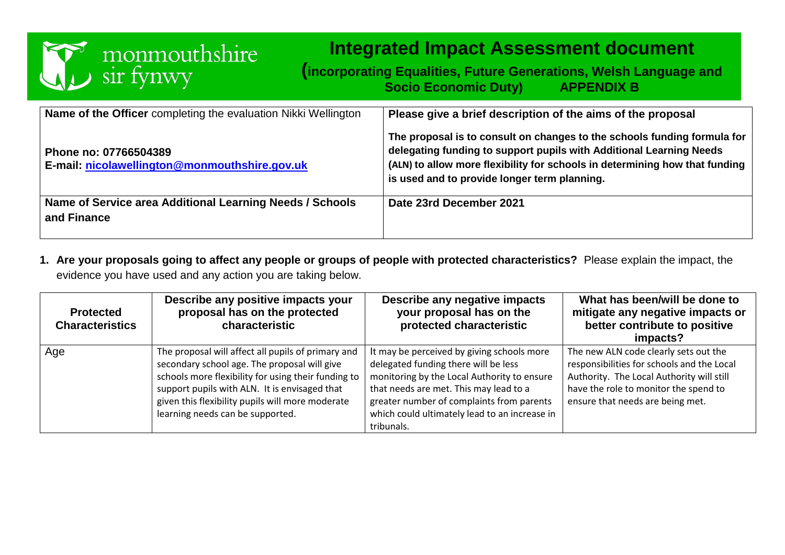

# **Integrated Impact Assessment document**

**(incorporating Equalities, Future Generations, Welsh Language and Socio Economic Duty) APPENDIX B**

| Name of the Officer completing the evaluation Nikki Wellington          | Please give a brief description of the aims of the proposal                                                                                                                                                                                                                    |
|-------------------------------------------------------------------------|--------------------------------------------------------------------------------------------------------------------------------------------------------------------------------------------------------------------------------------------------------------------------------|
| Phone no: 07766504389<br>E-mail: nicolawellington@monmouthshire.gov.uk  | The proposal is to consult on changes to the schools funding formula for<br>delegating funding to support pupils with Additional Learning Needs<br>(ALN) to allow more flexibility for schools in determining how that funding<br>is used and to provide longer term planning. |
| Name of Service area Additional Learning Needs / Schools<br>and Finance | Date 23rd December 2021                                                                                                                                                                                                                                                        |

**1. Are your proposals going to affect any people or groups of people with protected characteristics?** Please explain the impact, the evidence you have used and any action you are taking below.

| <b>Protected</b><br><b>Characteristics</b> | Describe any positive impacts your<br>proposal has on the protected<br>characteristic                                                                                                                                                                                                              | Describe any negative impacts<br>your proposal has on the<br>protected characteristic                                                                                                                                                                                                   | What has been/will be done to<br>mitigate any negative impacts or<br>better contribute to positive<br>impacts?                                                                                                |
|--------------------------------------------|----------------------------------------------------------------------------------------------------------------------------------------------------------------------------------------------------------------------------------------------------------------------------------------------------|-----------------------------------------------------------------------------------------------------------------------------------------------------------------------------------------------------------------------------------------------------------------------------------------|---------------------------------------------------------------------------------------------------------------------------------------------------------------------------------------------------------------|
| Age                                        | The proposal will affect all pupils of primary and<br>secondary school age. The proposal will give<br>schools more flexibility for using their funding to<br>support pupils with ALN. It is envisaged that<br>given this flexibility pupils will more moderate<br>learning needs can be supported. | It may be perceived by giving schools more<br>delegated funding there will be less<br>monitoring by the Local Authority to ensure<br>that needs are met. This may lead to a<br>greater number of complaints from parents<br>which could ultimately lead to an increase in<br>tribunals. | The new ALN code clearly sets out the<br>responsibilities for schools and the Local<br>Authority. The Local Authority will still<br>have the role to monitor the spend to<br>ensure that needs are being met. |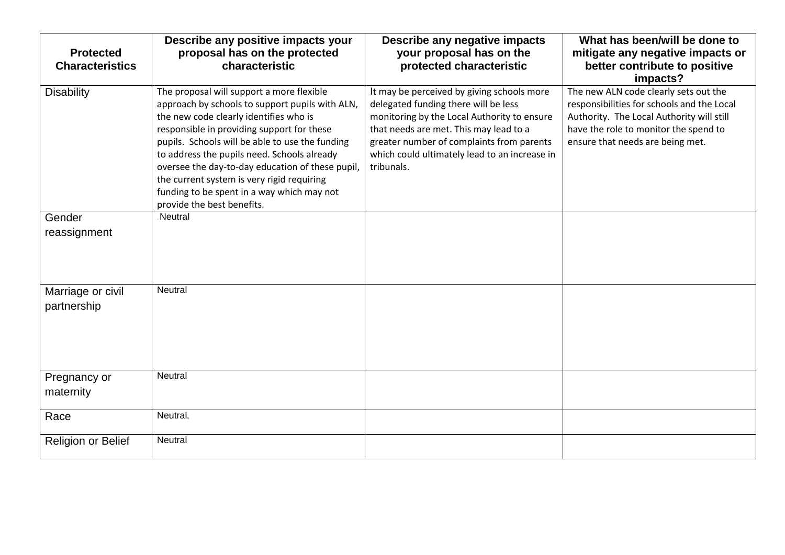| <b>Protected</b><br><b>Characteristics</b> | Describe any positive impacts your<br>proposal has on the protected<br>characteristic                                                                                                                                                                                                                                                                                                                                                                                | Describe any negative impacts<br>your proposal has on the<br>protected characteristic                                                                                                                                                                                                   | What has been/will be done to<br>mitigate any negative impacts or<br>better contribute to positive<br>impacts?                                                                                                |
|--------------------------------------------|----------------------------------------------------------------------------------------------------------------------------------------------------------------------------------------------------------------------------------------------------------------------------------------------------------------------------------------------------------------------------------------------------------------------------------------------------------------------|-----------------------------------------------------------------------------------------------------------------------------------------------------------------------------------------------------------------------------------------------------------------------------------------|---------------------------------------------------------------------------------------------------------------------------------------------------------------------------------------------------------------|
| <b>Disability</b>                          | The proposal will support a more flexible<br>approach by schools to support pupils with ALN,<br>the new code clearly identifies who is<br>responsible in providing support for these<br>pupils. Schools will be able to use the funding<br>to address the pupils need. Schools already<br>oversee the day-to-day education of these pupil,<br>the current system is very rigid requiring<br>funding to be spent in a way which may not<br>provide the best benefits. | It may be perceived by giving schools more<br>delegated funding there will be less<br>monitoring by the Local Authority to ensure<br>that needs are met. This may lead to a<br>greater number of complaints from parents<br>which could ultimately lead to an increase in<br>tribunals. | The new ALN code clearly sets out the<br>responsibilities for schools and the Local<br>Authority. The Local Authority will still<br>have the role to monitor the spend to<br>ensure that needs are being met. |
| Gender                                     | Neutral                                                                                                                                                                                                                                                                                                                                                                                                                                                              |                                                                                                                                                                                                                                                                                         |                                                                                                                                                                                                               |
| reassignment                               |                                                                                                                                                                                                                                                                                                                                                                                                                                                                      |                                                                                                                                                                                                                                                                                         |                                                                                                                                                                                                               |
| Marriage or civil<br>partnership           | Neutral                                                                                                                                                                                                                                                                                                                                                                                                                                                              |                                                                                                                                                                                                                                                                                         |                                                                                                                                                                                                               |
| Pregnancy or<br>maternity                  | Neutral                                                                                                                                                                                                                                                                                                                                                                                                                                                              |                                                                                                                                                                                                                                                                                         |                                                                                                                                                                                                               |
| Race                                       | Neutral.                                                                                                                                                                                                                                                                                                                                                                                                                                                             |                                                                                                                                                                                                                                                                                         |                                                                                                                                                                                                               |
| Religion or Belief                         | Neutral                                                                                                                                                                                                                                                                                                                                                                                                                                                              |                                                                                                                                                                                                                                                                                         |                                                                                                                                                                                                               |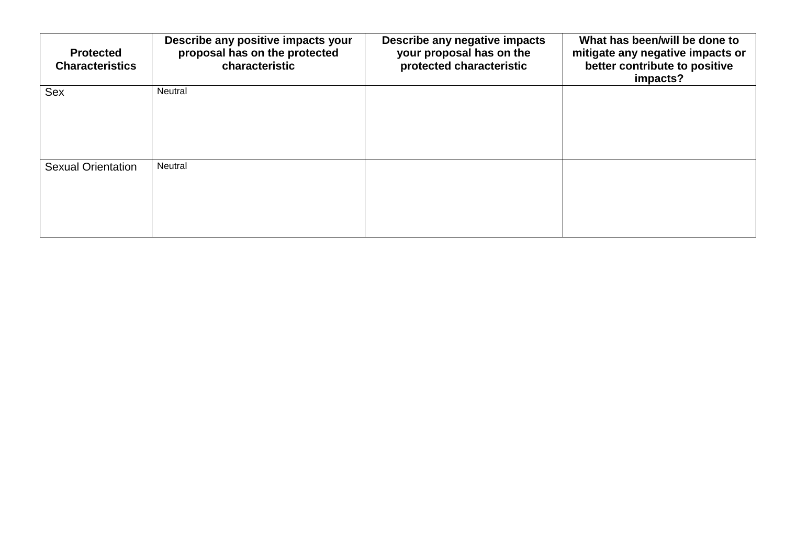| <b>Protected</b><br><b>Characteristics</b> | Describe any positive impacts your<br>proposal has on the protected<br>characteristic | Describe any negative impacts<br>your proposal has on the<br>protected characteristic | What has been/will be done to<br>mitigate any negative impacts or<br>better contribute to positive<br>impacts? |
|--------------------------------------------|---------------------------------------------------------------------------------------|---------------------------------------------------------------------------------------|----------------------------------------------------------------------------------------------------------------|
| Sex                                        | Neutral                                                                               |                                                                                       |                                                                                                                |
| <b>Sexual Orientation</b>                  | Neutral                                                                               |                                                                                       |                                                                                                                |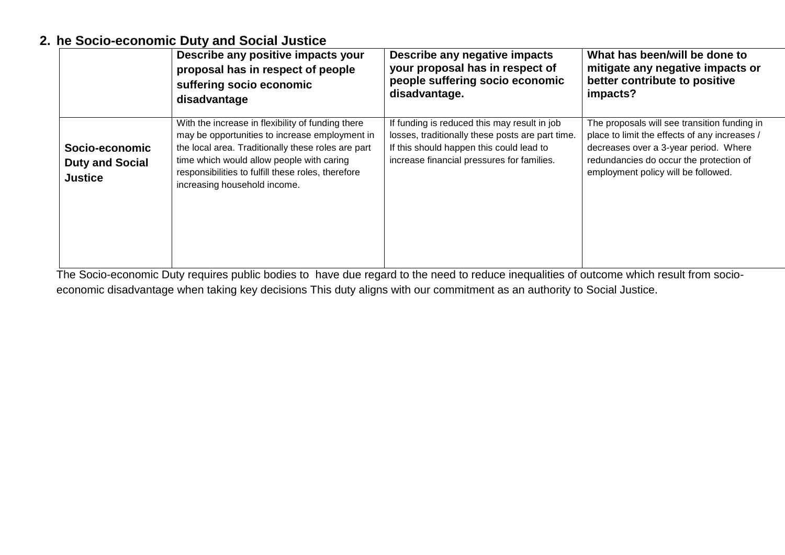#### **2. he Socio-economic Duty and Social Justice**

|                                                            | Describe any positive impacts your                                                                                                                                                                                                                                                           | Describe any negative impacts                                                                                                                                                              | What has been/will be done to                                                                                                                                                                                            |
|------------------------------------------------------------|----------------------------------------------------------------------------------------------------------------------------------------------------------------------------------------------------------------------------------------------------------------------------------------------|--------------------------------------------------------------------------------------------------------------------------------------------------------------------------------------------|--------------------------------------------------------------------------------------------------------------------------------------------------------------------------------------------------------------------------|
|                                                            | proposal has in respect of people                                                                                                                                                                                                                                                            | your proposal has in respect of                                                                                                                                                            | mitigate any negative impacts or                                                                                                                                                                                         |
|                                                            | suffering socio economic                                                                                                                                                                                                                                                                     | people suffering socio economic                                                                                                                                                            | better contribute to positive                                                                                                                                                                                            |
|                                                            | disadvantage                                                                                                                                                                                                                                                                                 | disadvantage.                                                                                                                                                                              | impacts?                                                                                                                                                                                                                 |
| Socio-economic<br><b>Duty and Social</b><br><b>Justice</b> | With the increase in flexibility of funding there<br>may be opportunities to increase employment in<br>the local area. Traditionally these roles are part<br>time which would allow people with caring<br>responsibilities to fulfill these roles, therefore<br>increasing household income. | If funding is reduced this may result in job<br>losses, traditionally these posts are part time.<br>If this should happen this could lead to<br>increase financial pressures for families. | The proposals will see transition funding in<br>place to limit the effects of any increases /<br>decreases over a 3-year period. Where<br>redundancies do occur the protection of<br>employment policy will be followed. |

The Socio-economic Duty requires public bodies to have due regard to the need to reduce inequalities of outcome which result from socioeconomic disadvantage when taking key decisions This duty aligns with our commitment as an authority to Social Justice.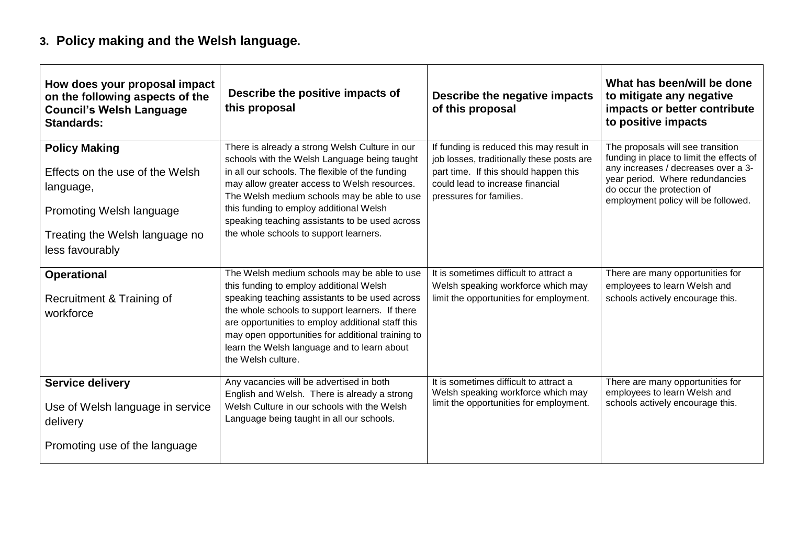## **3. Policy making and the Welsh language.**

| How does your proposal impact<br>on the following aspects of the<br><b>Council's Welsh Language</b><br><b>Standards:</b>                              | Describe the positive impacts of<br>this proposal                                                                                                                                                                                                                                                                                                                                       | Describe the negative impacts<br>of this proposal                                                                                                                                             | What has been/will be done<br>to mitigate any negative<br>impacts or better contribute<br>to positive impacts                                                                                                                |
|-------------------------------------------------------------------------------------------------------------------------------------------------------|-----------------------------------------------------------------------------------------------------------------------------------------------------------------------------------------------------------------------------------------------------------------------------------------------------------------------------------------------------------------------------------------|-----------------------------------------------------------------------------------------------------------------------------------------------------------------------------------------------|------------------------------------------------------------------------------------------------------------------------------------------------------------------------------------------------------------------------------|
| <b>Policy Making</b><br>Effects on the use of the Welsh<br>language,<br>Promoting Welsh language<br>Treating the Welsh language no<br>less favourably | There is already a strong Welsh Culture in our<br>schools with the Welsh Language being taught<br>in all our schools. The flexible of the funding<br>may allow greater access to Welsh resources.<br>The Welsh medium schools may be able to use<br>this funding to employ additional Welsh<br>speaking teaching assistants to be used across<br>the whole schools to support learners. | If funding is reduced this may result in<br>job losses, traditionally these posts are<br>part time. If this should happen this<br>could lead to increase financial<br>pressures for families. | The proposals will see transition<br>funding in place to limit the effects of<br>any increases / decreases over a 3-<br>year period. Where redundancies<br>do occur the protection of<br>employment policy will be followed. |
| <b>Operational</b><br>Recruitment & Training of<br>workforce                                                                                          | The Welsh medium schools may be able to use<br>this funding to employ additional Welsh<br>speaking teaching assistants to be used across<br>the whole schools to support learners. If there<br>are opportunities to employ additional staff this<br>may open opportunities for additional training to<br>learn the Welsh language and to learn about<br>the Welsh culture.              | It is sometimes difficult to attract a<br>Welsh speaking workforce which may<br>limit the opportunities for employment.                                                                       | There are many opportunities for<br>employees to learn Welsh and<br>schools actively encourage this.                                                                                                                         |
| <b>Service delivery</b><br>Use of Welsh language in service<br>delivery<br>Promoting use of the language                                              | Any vacancies will be advertised in both<br>English and Welsh. There is already a strong<br>Welsh Culture in our schools with the Welsh<br>Language being taught in all our schools.                                                                                                                                                                                                    | It is sometimes difficult to attract a<br>Welsh speaking workforce which may<br>limit the opportunities for employment.                                                                       | There are many opportunities for<br>employees to learn Welsh and<br>schools actively encourage this.                                                                                                                         |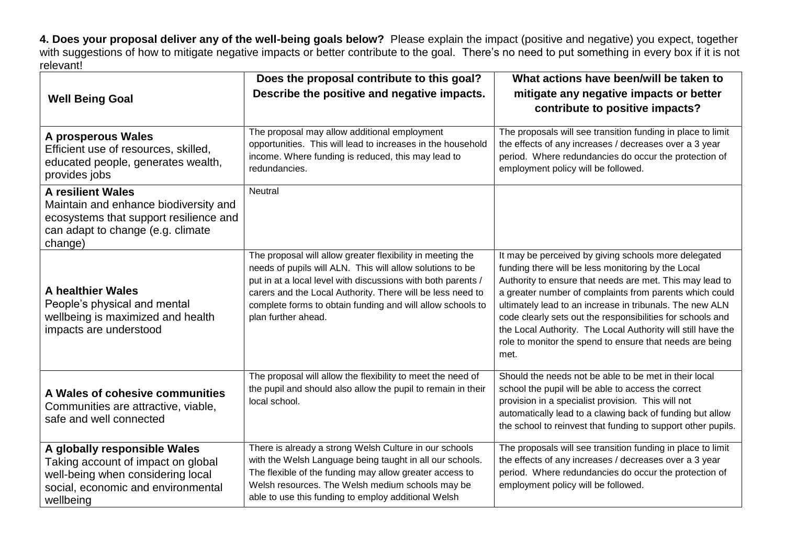**4. Does your proposal deliver any of the well-being goals below?** Please explain the impact (positive and negative) you expect, together with suggestions of how to mitigate negative impacts or better contribute to the goal. There's no need to put something in every box if it is not relevant!

|                                                                                                                                                             | Does the proposal contribute to this goal?                                                                                                                                                                                                                                                                                                 | What actions have been/will be taken to                                                                                                                                                                                                                                                                                                                                                                                                                                                         |
|-------------------------------------------------------------------------------------------------------------------------------------------------------------|--------------------------------------------------------------------------------------------------------------------------------------------------------------------------------------------------------------------------------------------------------------------------------------------------------------------------------------------|-------------------------------------------------------------------------------------------------------------------------------------------------------------------------------------------------------------------------------------------------------------------------------------------------------------------------------------------------------------------------------------------------------------------------------------------------------------------------------------------------|
| <b>Well Being Goal</b>                                                                                                                                      | Describe the positive and negative impacts.                                                                                                                                                                                                                                                                                                | mitigate any negative impacts or better<br>contribute to positive impacts?                                                                                                                                                                                                                                                                                                                                                                                                                      |
| A prosperous Wales<br>Efficient use of resources, skilled,<br>educated people, generates wealth,<br>provides jobs                                           | The proposal may allow additional employment<br>opportunities. This will lead to increases in the household<br>income. Where funding is reduced, this may lead to<br>redundancies.                                                                                                                                                         | The proposals will see transition funding in place to limit<br>the effects of any increases / decreases over a 3 year<br>period. Where redundancies do occur the protection of<br>employment policy will be followed.                                                                                                                                                                                                                                                                           |
| <b>A resilient Wales</b><br>Maintain and enhance biodiversity and<br>ecosystems that support resilience and<br>can adapt to change (e.g. climate<br>change) | Neutral                                                                                                                                                                                                                                                                                                                                    |                                                                                                                                                                                                                                                                                                                                                                                                                                                                                                 |
| A healthier Wales<br>People's physical and mental<br>wellbeing is maximized and health<br>impacts are understood                                            | The proposal will allow greater flexibility in meeting the<br>needs of pupils will ALN. This will allow solutions to be<br>put in at a local level with discussions with both parents /<br>carers and the Local Authority. There will be less need to<br>complete forms to obtain funding and will allow schools to<br>plan further ahead. | It may be perceived by giving schools more delegated<br>funding there will be less monitoring by the Local<br>Authority to ensure that needs are met. This may lead to<br>a greater number of complaints from parents which could<br>ultimately lead to an increase in tribunals. The new ALN<br>code clearly sets out the responsibilities for schools and<br>the Local Authority. The Local Authority will still have the<br>role to monitor the spend to ensure that needs are being<br>met. |
| A Wales of cohesive communities<br>Communities are attractive, viable,<br>safe and well connected                                                           | The proposal will allow the flexibility to meet the need of<br>the pupil and should also allow the pupil to remain in their<br>local school.                                                                                                                                                                                               | Should the needs not be able to be met in their local<br>school the pupil will be able to access the correct<br>provision in a specialist provision. This will not<br>automatically lead to a clawing back of funding but allow<br>the school to reinvest that funding to support other pupils.                                                                                                                                                                                                 |
| A globally responsible Wales<br>Taking account of impact on global<br>well-being when considering local<br>social, economic and environmental<br>wellbeing  | There is already a strong Welsh Culture in our schools<br>with the Welsh Language being taught in all our schools.<br>The flexible of the funding may allow greater access to<br>Welsh resources. The Welsh medium schools may be<br>able to use this funding to employ additional Welsh                                                   | The proposals will see transition funding in place to limit<br>the effects of any increases / decreases over a 3 year<br>period. Where redundancies do occur the protection of<br>employment policy will be followed.                                                                                                                                                                                                                                                                           |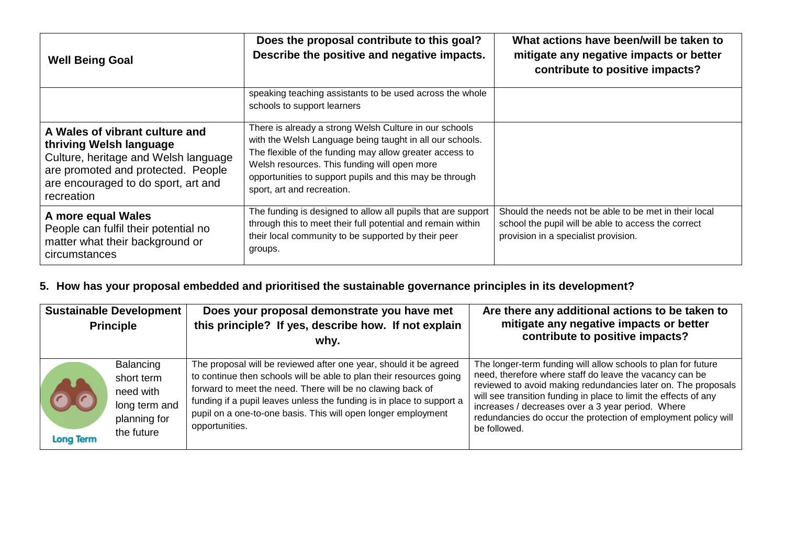| <b>Well Being Goal</b>                                                                                                                                                                       | Does the proposal contribute to this goal?<br>Describe the positive and negative impacts.                                                                                                                                                                                                                              | What actions have been/will be taken to<br>mitigate any negative impacts or better<br>contribute to positive impacts?                                |
|----------------------------------------------------------------------------------------------------------------------------------------------------------------------------------------------|------------------------------------------------------------------------------------------------------------------------------------------------------------------------------------------------------------------------------------------------------------------------------------------------------------------------|------------------------------------------------------------------------------------------------------------------------------------------------------|
|                                                                                                                                                                                              | speaking teaching assistants to be used across the whole<br>schools to support learners                                                                                                                                                                                                                                |                                                                                                                                                      |
| A Wales of vibrant culture and<br>thriving Welsh language<br>Culture, heritage and Welsh language<br>are promoted and protected. People<br>are encouraged to do sport, art and<br>recreation | There is already a strong Welsh Culture in our schools<br>with the Welsh Language being taught in all our schools.<br>The flexible of the funding may allow greater access to<br>Welsh resources. This funding will open more<br>opportunities to support pupils and this may be through<br>sport, art and recreation. |                                                                                                                                                      |
| A more equal Wales<br>People can fulfil their potential no<br>matter what their background or<br>circumstances                                                                               | The funding is designed to allow all pupils that are support<br>through this to meet their full potential and remain within<br>their local community to be supported by their peer<br>groups.                                                                                                                          | Should the needs not be able to be met in their local<br>school the pupil will be able to access the correct<br>provision in a specialist provision. |

### **5. How has your proposal embedded and prioritised the sustainable governance principles in its development?**

| <b>Sustainable Development</b><br><b>Principle</b> |                                                                                            | Does your proposal demonstrate you have met<br>this principle? If yes, describe how. If not explain<br>why.                                                                                                                                                                                                                                                        | Are there any additional actions to be taken to<br>mitigate any negative impacts or better<br>contribute to positive impacts?                                                                                                                                                                                                                                                                        |
|----------------------------------------------------|--------------------------------------------------------------------------------------------|--------------------------------------------------------------------------------------------------------------------------------------------------------------------------------------------------------------------------------------------------------------------------------------------------------------------------------------------------------------------|------------------------------------------------------------------------------------------------------------------------------------------------------------------------------------------------------------------------------------------------------------------------------------------------------------------------------------------------------------------------------------------------------|
| <b>A</b><br><b>Long Term</b>                       | <b>Balancing</b><br>short term<br>need with<br>long term and<br>planning for<br>the future | The proposal will be reviewed after one year, should it be agreed<br>to continue then schools will be able to plan their resources going<br>forward to meet the need. There will be no clawing back of<br>funding if a pupil leaves unless the funding is in place to support a<br>pupil on a one-to-one basis. This will open longer employment<br>opportunities. | The longer-term funding will allow schools to plan for future<br>need, therefore where staff do leave the vacancy can be<br>reviewed to avoid making redundancies later on. The proposals<br>will see transition funding in place to limit the effects of any<br>increases / decreases over a 3 year period. Where<br>redundancies do occur the protection of employment policy will<br>be followed. |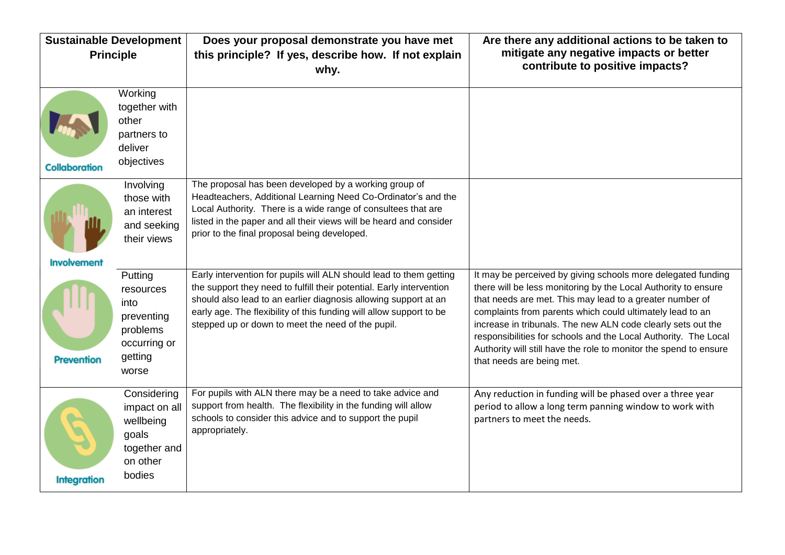| <b>Sustainable Development</b><br><b>Principle</b> |                                                                                            | Does your proposal demonstrate you have met<br>this principle? If yes, describe how. If not explain                                                                                                                                                                                                                                       | Are there any additional actions to be taken to<br>mitigate any negative impacts or better<br>contribute to positive impacts?                                                                                                                                                                                                                                                                                                                                                                |
|----------------------------------------------------|--------------------------------------------------------------------------------------------|-------------------------------------------------------------------------------------------------------------------------------------------------------------------------------------------------------------------------------------------------------------------------------------------------------------------------------------------|----------------------------------------------------------------------------------------------------------------------------------------------------------------------------------------------------------------------------------------------------------------------------------------------------------------------------------------------------------------------------------------------------------------------------------------------------------------------------------------------|
|                                                    |                                                                                            | why.                                                                                                                                                                                                                                                                                                                                      |                                                                                                                                                                                                                                                                                                                                                                                                                                                                                              |
| <b>Collaboration</b>                               | Working<br>together with<br>other<br>partners to<br>deliver<br>objectives                  |                                                                                                                                                                                                                                                                                                                                           |                                                                                                                                                                                                                                                                                                                                                                                                                                                                                              |
| <b>Involvement</b>                                 | Involving<br>those with<br>an interest<br>and seeking<br>their views                       | The proposal has been developed by a working group of<br>Headteachers, Additional Learning Need Co-Ordinator's and the<br>Local Authority. There is a wide range of consultees that are<br>listed in the paper and all their views will be heard and consider<br>prior to the final proposal being developed.                             |                                                                                                                                                                                                                                                                                                                                                                                                                                                                                              |
| <b>Prevention</b>                                  | Putting<br>resources<br>into<br>preventing<br>problems<br>occurring or<br>getting<br>worse | Early intervention for pupils will ALN should lead to them getting<br>the support they need to fulfill their potential. Early intervention<br>should also lead to an earlier diagnosis allowing support at an<br>early age. The flexibility of this funding will allow support to be<br>stepped up or down to meet the need of the pupil. | It may be perceived by giving schools more delegated funding<br>there will be less monitoring by the Local Authority to ensure<br>that needs are met. This may lead to a greater number of<br>complaints from parents which could ultimately lead to an<br>increase in tribunals. The new ALN code clearly sets out the<br>responsibilities for schools and the Local Authority. The Local<br>Authority will still have the role to monitor the spend to ensure<br>that needs are being met. |
| <b>Integration</b>                                 | Considering<br>impact on all<br>wellbeing<br>goals<br>together and<br>on other<br>bodies   | For pupils with ALN there may be a need to take advice and<br>support from health. The flexibility in the funding will allow<br>schools to consider this advice and to support the pupil<br>appropriately.                                                                                                                                | Any reduction in funding will be phased over a three year<br>period to allow a long term panning window to work with<br>partners to meet the needs.                                                                                                                                                                                                                                                                                                                                          |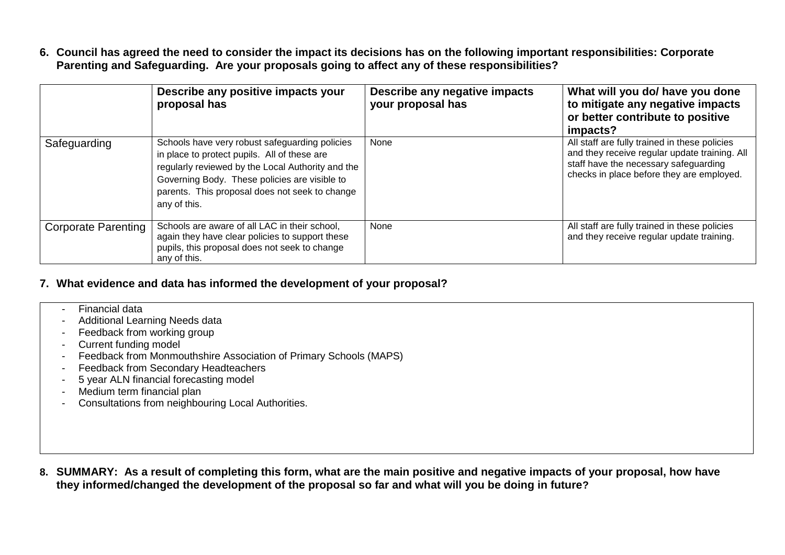**6. Council has agreed the need to consider the impact its decisions has on the following important responsibilities: Corporate Parenting and Safeguarding. Are your proposals going to affect any of these responsibilities?**

|                            | Describe any positive impacts your<br>proposal has                                                                                                                                                                                                                     | Describe any negative impacts<br>your proposal has | What will you do/ have you done<br>to mitigate any negative impacts<br>or better contribute to positive<br>impacts?                                                                  |
|----------------------------|------------------------------------------------------------------------------------------------------------------------------------------------------------------------------------------------------------------------------------------------------------------------|----------------------------------------------------|--------------------------------------------------------------------------------------------------------------------------------------------------------------------------------------|
| Safeguarding               | Schools have very robust safeguarding policies<br>in place to protect pupils. All of these are<br>regularly reviewed by the Local Authority and the<br>Governing Body. These policies are visible to<br>parents. This proposal does not seek to change<br>any of this. | None                                               | All staff are fully trained in these policies<br>and they receive regular update training. All<br>staff have the necessary safeguarding<br>checks in place before they are employed. |
| <b>Corporate Parenting</b> | Schools are aware of all LAC in their school,<br>again they have clear policies to support these<br>pupils, this proposal does not seek to change<br>any of this.                                                                                                      | None                                               | All staff are fully trained in these policies<br>and they receive regular update training.                                                                                           |

#### **7. What evidence and data has informed the development of your proposal?**

- Financial data
- Additional Learning Needs data
- Feedback from working group
- Current funding model
- Feedback from Monmouthshire Association of Primary Schools (MAPS)
- Feedback from Secondary Headteachers
- 5 year ALN financial forecasting model
- Medium term financial plan
- Consultations from neighbouring Local Authorities.

**8. SUMMARY: As a result of completing this form, what are the main positive and negative impacts of your proposal, how have they informed/changed the development of the proposal so far and what will you be doing in future?**